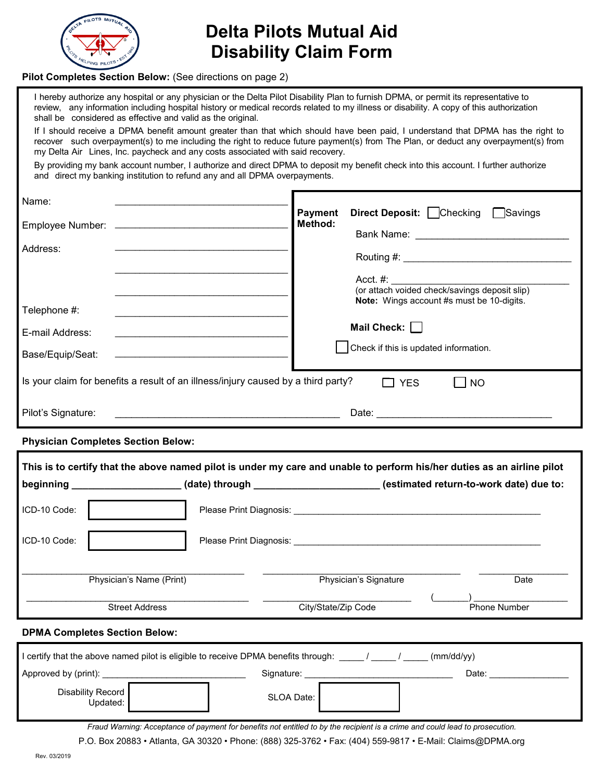

## **Delta Pilots Mutual Aid Disability Claim Form**

#### **Pilot Completes Section Below:** (See directions on page 2)

| shall be considered as effective and valid as the original.                       | I hereby authorize any hospital or any physician or the Delta Pilot Disability Plan to furnish DPMA, or permit its representative to<br>review, any information including hospital history or medical records related to my illness or disability. A copy of this authorization |  |  |
|-----------------------------------------------------------------------------------|---------------------------------------------------------------------------------------------------------------------------------------------------------------------------------------------------------------------------------------------------------------------------------|--|--|
| my Delta Air Lines, Inc. paycheck and any costs associated with said recovery.    | If I should receive a DPMA benefit amount greater than that which should have been paid, I understand that DPMA has the right to<br>recover such overpayment(s) to me including the right to reduce future payment(s) from The Plan, or deduct any overpayment(s) from          |  |  |
| and direct my banking institution to refund any and all DPMA overpayments.        | By providing my bank account number, I authorize and direct DPMA to deposit my benefit check into this account. I further authorize                                                                                                                                             |  |  |
| Name:                                                                             | <b>Direct Deposit:</b> Checking Savings<br><b>Payment</b>                                                                                                                                                                                                                       |  |  |
|                                                                                   | Method:<br>Bank Name: The Contract of the Contract of the Contract of the Contract of the Contract of the Contract of the Contract of the Contract of the Contract of the Contract of the Contract of the Contract of the Contract of the                                       |  |  |
| Address:                                                                          |                                                                                                                                                                                                                                                                                 |  |  |
|                                                                                   | <b>Note:</b> Wings account #s must be 10-digits.                                                                                                                                                                                                                                |  |  |
| Telephone #:                                                                      |                                                                                                                                                                                                                                                                                 |  |  |
| E-mail Address:                                                                   | Mail Check: $\Box$                                                                                                                                                                                                                                                              |  |  |
| Base/Equip/Seat:                                                                  | Check if this is updated information.                                                                                                                                                                                                                                           |  |  |
| Is your claim for benefits a result of an illness/injury caused by a third party? | <b>NO</b><br><b>YES</b>                                                                                                                                                                                                                                                         |  |  |
| Pilot's Signature:                                                                |                                                                                                                                                                                                                                                                                 |  |  |
| <b>Physician Completes Section Below:</b>                                         |                                                                                                                                                                                                                                                                                 |  |  |

**This is to certify that the above named pilot is under my care and unable to perform his/her duties as an airline pilot beginning \_\_\_\_\_\_\_\_\_\_\_\_\_\_\_\_\_\_\_\_ (date) through \_\_\_\_\_\_\_\_\_\_\_\_\_\_\_\_\_\_\_\_\_\_\_ (estimated return-to-work date) due to:** ICD-10 Code: Please Print Diagnosis: \_\_\_\_\_\_\_\_\_\_\_\_\_\_\_\_\_\_\_\_\_\_\_\_\_\_\_\_\_\_\_\_\_\_\_\_\_\_\_\_\_\_\_\_\_\_\_\_\_\_ ICD-10 Code: Print Diagnosis: Print Diagnosis: \_\_\_\_\_\_\_\_\_\_\_\_\_\_\_\_\_\_\_\_\_\_\_\_\_\_\_\_\_\_\_\_\_\_\_\_\_\_\_\_\_\_\_\_\_ Physician's Name (Print) \_\_\_\_\_\_\_\_\_\_\_\_\_\_\_\_\_\_\_\_\_\_\_\_\_\_\_\_\_\_\_\_\_\_\_\_\_\_\_\_ Physician's Signature  $\_$ **Date** \_\_\_\_\_\_\_\_\_\_\_\_\_\_\_\_\_\_\_\_\_\_\_\_\_\_\_\_\_\_\_\_\_\_\_\_\_\_\_\_\_\_\_\_\_ Street Address \_\_\_\_\_\_\_\_\_\_\_\_\_\_\_\_\_\_\_\_\_\_\_\_\_\_\_\_\_\_ City/State/Zip Code  $\overline{\phantom{a}}$   $\overline{\phantom{a}}$   $\overline{\phantom{a}}$   $\overline{\phantom{a}}$   $\overline{\phantom{a}}$   $\overline{\phantom{a}}$   $\overline{\phantom{a}}$   $\overline{\phantom{a}}$   $\overline{\phantom{a}}$   $\overline{\phantom{a}}$   $\overline{\phantom{a}}$   $\overline{\phantom{a}}$   $\overline{\phantom{a}}$   $\overline{\phantom{a}}$   $\overline{\phantom{a}}$   $\overline{\phantom{a}}$   $\overline{\phantom{a}}$   $\overline{\phantom{a}}$   $\overline{\$ Phone Number

#### **DPMA Completes Section Below:**

| (mm/dd/yy)<br>I certify that the above named pilot is eligible to receive DPMA benefits through: |            |       |  |
|--------------------------------------------------------------------------------------------------|------------|-------|--|
| Approved by (print):                                                                             | Signature: | Date: |  |
| Disability Record<br>Updated:                                                                    | SLOA Date: |       |  |

*Fraud Warning: Acceptance of payment for benefits not entitled to by the recipient is a crime and could lead to prosecution.* P.O. Box 20883 • Atlanta, GA 30320 • Phone: (888) 325-3762 • Fax: (404) 559-9817 • E-Mail: Claims@DPMA.org